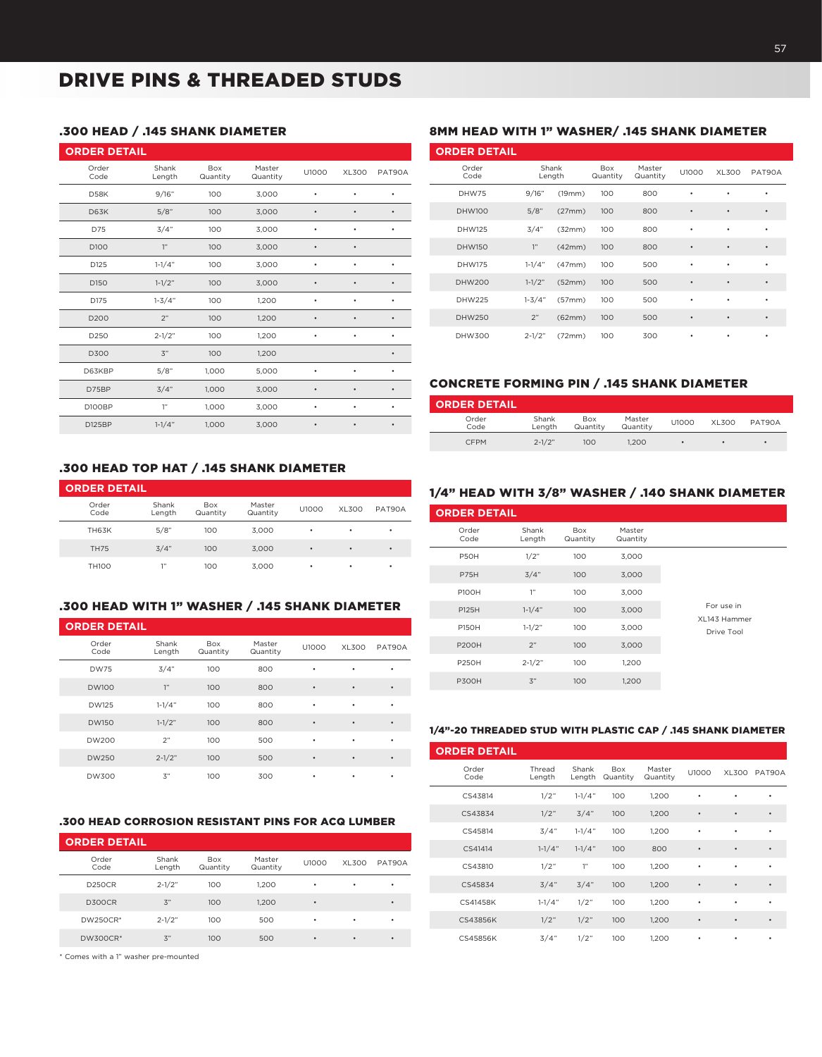# DRIVE PINS & THREADED STUDS

## .300 HEAD / .145 SHANK DIAMETER

| <b>ORDER DETAIL</b> |                  |                 |                    |           |              |           |
|---------------------|------------------|-----------------|--------------------|-----------|--------------|-----------|
| Order<br>Code       | Shank<br>Length  | Box<br>Quantity | Master<br>Quantity | U1000     | <b>XL300</b> | PAT90A    |
| <b>D58K</b>         | 9/16"            | 100             | 3,000              | ٠         | $\bullet$    | ٠         |
| <b>D63K</b>         | 5/8"             | 100             | 3,000              | $\bullet$ | $\bullet$    | $\bullet$ |
| D75                 | 3/4"             | 100             | 3,000              | ٠         | ٠            | ٠         |
| D100                | 1"               | 100             | 3,000              | $\bullet$ | $\bullet$    |           |
| D125                | $1 - 1/4"$       | 100             | 3,000              | ٠         | ٠            | ٠         |
| D150                | $1 - 1/2"$       | 100             | 3,000              | $\bullet$ | $\bullet$    | ٠         |
| D175                | $1 - 3/4"$       | 100             | 1,200              | ٠         | ٠            | ٠         |
| D200                | 2"               | 100             | 1,200              | $\bullet$ | $\bullet$    | ٠         |
| D250                | $2 - 1/2"$       | 100             | 1,200              | ٠         | ٠            |           |
| D300                | $\mathfrak{Z}^n$ | 100             | 1,200              |           |              | ٠         |
| D63KBP              | 5/8"             | 1,000           | 5,000              | $\bullet$ | $\bullet$    | ٠         |
| D75BP               | 3/4"             | 1,000           | 3,000              | $\bullet$ | $\bullet$    | $\bullet$ |
| D100BP              | 1"               | 1,000           | 3,000              | $\bullet$ | $\bullet$    | ٠         |
| D125BP              | $1 - 1/4"$       | 1,000           | 3,000              | $\bullet$ | $\bullet$    | ٠         |

### .300 HEAD TOP HAT / .145 SHANK DIAMETER

| <b>ORDER DETAIL</b> |                 |                        |                    |       |       |        |
|---------------------|-----------------|------------------------|--------------------|-------|-------|--------|
| Order<br>Code       | Shank<br>Length | <b>Box</b><br>Quantity | Master<br>Quantity | U1000 | XL300 | PAT90A |
| <b>TH63K</b>        | 5/8"            | 100                    | 3.000              | ٠     | ٠     | ٠      |
| <b>TH75</b>         | 3/4"            | 100                    | 3.000              | ٠     | ٠     | ٠      |
| <b>TH100</b>        | 1"              | 100                    | 3.000              | ٠     | ٠     | ٠      |

#### .300 HEAD WITH 1" WASHER / .145 SHANK DIAMETER

| <b>ORDER DETAIL</b> |                 |                        |                    |           |           |           |
|---------------------|-----------------|------------------------|--------------------|-----------|-----------|-----------|
| Order<br>Code       | Shank<br>Length | <b>Box</b><br>Quantity | Master<br>Quantity | U1000     | XL300     | PAT90A    |
| <b>DW75</b>         | 3/4"            | 100                    | 800                | ٠         | ٠         | ٠         |
| <b>DW100</b>        | 1"              | 100                    | 800                | ٠         | $\bullet$ | ٠         |
| <b>DW125</b>        | $1 - 1/4"$      | 100                    | 800                | ٠         | ٠         | ٠         |
| <b>DW150</b>        | $1 - 1/2"$      | 100                    | 800                | ٠         | $\bullet$ | ٠         |
| <b>DW200</b>        | 2"              | 100                    | 500                | ٠         | ٠         | ٠         |
| <b>DW250</b>        | $2 - 1/2"$      | 100                    | 500                | $\bullet$ | $\bullet$ | $\bullet$ |
| <b>DW300</b>        | 3"              | 100                    | 300                | ٠         | ٠         | ٠         |

#### .300 HEAD CORROSION RESISTANT PINS FOR ACQ LUMBER

| <b>ORDER DETAIL</b> |                  |                        |                    |       |       |        |  |  |  |  |  |
|---------------------|------------------|------------------------|--------------------|-------|-------|--------|--|--|--|--|--|
| Order<br>Code       | Shank<br>Length  | <b>Box</b><br>Quantity | Master<br>Quantity | U1000 | XL300 | PAT90A |  |  |  |  |  |
| <b>D250CR</b>       | $2 - 1/2"$       | 100                    | 1.200<br>٠         |       | ٠     | ٠      |  |  |  |  |  |
| <b>D300CR</b>       | $\mathfrak{Z}^n$ | 100                    | 1.200              | ٠     |       | ٠      |  |  |  |  |  |
| DW250CR*            | $2 - 1/2"$       | 100                    | 500                | ٠     | ٠     | ٠      |  |  |  |  |  |
| <b>DW300CR*</b>     | $\mathfrak{Z}^n$ | 100                    | 500                | ٠     | ٠     | ٠      |  |  |  |  |  |

\* Comes with a 1" washer pre-mounted

#### 8MM HEAD WITH 1" WASHER/ .145 SHANK DIAMETER

| <b>ORDER DETAIL</b> |                 |        |                 |                    |           |           |           |
|---------------------|-----------------|--------|-----------------|--------------------|-----------|-----------|-----------|
| Order<br>Code       | Shank<br>Length |        | Box<br>Quantity | Master<br>Quantity | U1000     | XL300     | PAT90A    |
| DHW75               | 9/16"           | (19mm) | 100             | 800                | ٠         | ٠         | ٠         |
| <b>DHW100</b>       | 5/8"            | (27mm) | 100             | 800                | $\bullet$ | $\bullet$ | $\bullet$ |
| <b>DHW125</b>       | 3/4"            | (32mm) | 100             | 800                | ٠         | ٠         | $\bullet$ |
| <b>DHW150</b>       | 1"              | (42mm) | 100             | 800                | $\bullet$ | $\bullet$ | $\bullet$ |
| <b>DHW175</b>       | $1 - 1/4"$      | (47mm) | 100             | 500                | ٠         | ٠         | ٠         |
| <b>DHW200</b>       | $1 - 1/2"$      | (52mm) | 100             | 500                | $\bullet$ | $\bullet$ | $\bullet$ |
| <b>DHW225</b>       | $1 - 3/4"$      | (57mm) | 100             | 500                | ٠         | ٠         | ٠         |
| <b>DHW250</b>       | 2"              | (62mm) | 100             | 500                | $\bullet$ | $\bullet$ | $\bullet$ |
| <b>DHW300</b>       | $2 - 1/2"$      | (72mm) | 100             | 300                | ٠         | ٠         | ٠         |

#### CONCRETE FORMING PIN / .145 SHANK DIAMETER

| <b>ORDER DETAIL</b> |                 |                        |                    |       |       |        |
|---------------------|-----------------|------------------------|--------------------|-------|-------|--------|
| Order<br>Code       | Shank<br>Lenath | <b>Box</b><br>Quantity | Master<br>Quantity | U1000 | XL300 | PAT90A |
| <b>CFPM</b>         | $2 - 1/2"$      | 100                    | 1.200              | ٠     |       | ٠      |

## 1/4" HEAD WITH 3/8" WASHER / .140 SHANK DIAMETER

| <b>ORDER DETAIL</b> |                  |                        |                    |                            |  |  |  |  |  |  |  |  |
|---------------------|------------------|------------------------|--------------------|----------------------------|--|--|--|--|--|--|--|--|
| Order<br>Code       | Shank<br>Length  | <b>Box</b><br>Quantity | Master<br>Quantity |                            |  |  |  |  |  |  |  |  |
| P50H                | 1/2"             | 100                    | 3,000              |                            |  |  |  |  |  |  |  |  |
| P75H                | 3/4"             | 100                    | 3,000              |                            |  |  |  |  |  |  |  |  |
| <b>P100H</b>        | 1"               | 100                    | 3,000              |                            |  |  |  |  |  |  |  |  |
| P125H               | $1 - 1/4"$       | 100                    | 3,000              | For use in<br>XL143 Hammer |  |  |  |  |  |  |  |  |
| <b>P150H</b>        | $1 - 1/2"$       | 100                    | 3,000              | Drive Tool                 |  |  |  |  |  |  |  |  |
| <b>P200H</b>        | 2"               | 100                    | 3,000              |                            |  |  |  |  |  |  |  |  |
| <b>P250H</b>        | $2 - 1/2"$       | 100                    | 1.200              |                            |  |  |  |  |  |  |  |  |
| <b>P300H</b>        | $\mathfrak{Z}^n$ | 100                    | 1,200              |                            |  |  |  |  |  |  |  |  |

#### 1/4"-20 THREADED STUD WITH PLASTIC CAP / .145 SHANK DIAMETER

| <b>ORDER DETAIL</b> |                  |                 |                        |                    |              |              |           |
|---------------------|------------------|-----------------|------------------------|--------------------|--------------|--------------|-----------|
| Order<br>Code       | Thread<br>Length | Shank<br>Length | <b>Box</b><br>Quantity | Master<br>Quantity | <b>U1000</b> | <b>XL300</b> | PAT90A    |
| CS43814             | 1/2"             | $1 - 1/4"$      | 100                    | 1.200              | ٠            | ٠            | ٠         |
| CS43834             | 1/2"             | 3/4"            | 100                    | 1.200              | $\bullet$    | $\bullet$    | $\bullet$ |
| CS45814             | 3/4"             | $1 - 1/4"$      | 100                    | 1,200              | ٠            | ٠            | ٠         |
| CS41414             | $1 - 1/4"$       | $1 - 1/4"$      | 100                    | 800                | ٠            | $\bullet$    | $\bullet$ |
| CS43810             | 1/2"             | 1"              | 100                    | 1.200              | ٠            | ٠            | ٠         |
| CS45834             | 3/4"             | 3/4"            | 100                    | 1,200              | $\bullet$    | $\bullet$    | $\bullet$ |
| CS41458K            | $1 - 1/4"$       | 1/2"            | 100                    | 1.200              | ٠            | ٠            | ٠         |
| CS43856K            | 1/2"             | 1/2"            | 100                    | 1,200              | $\bullet$    | $\bullet$    | $\bullet$ |
| CS45856K            | 3/4"             | 1/2"            | 100                    | 1,200              | ٠            | ٠            | ٠         |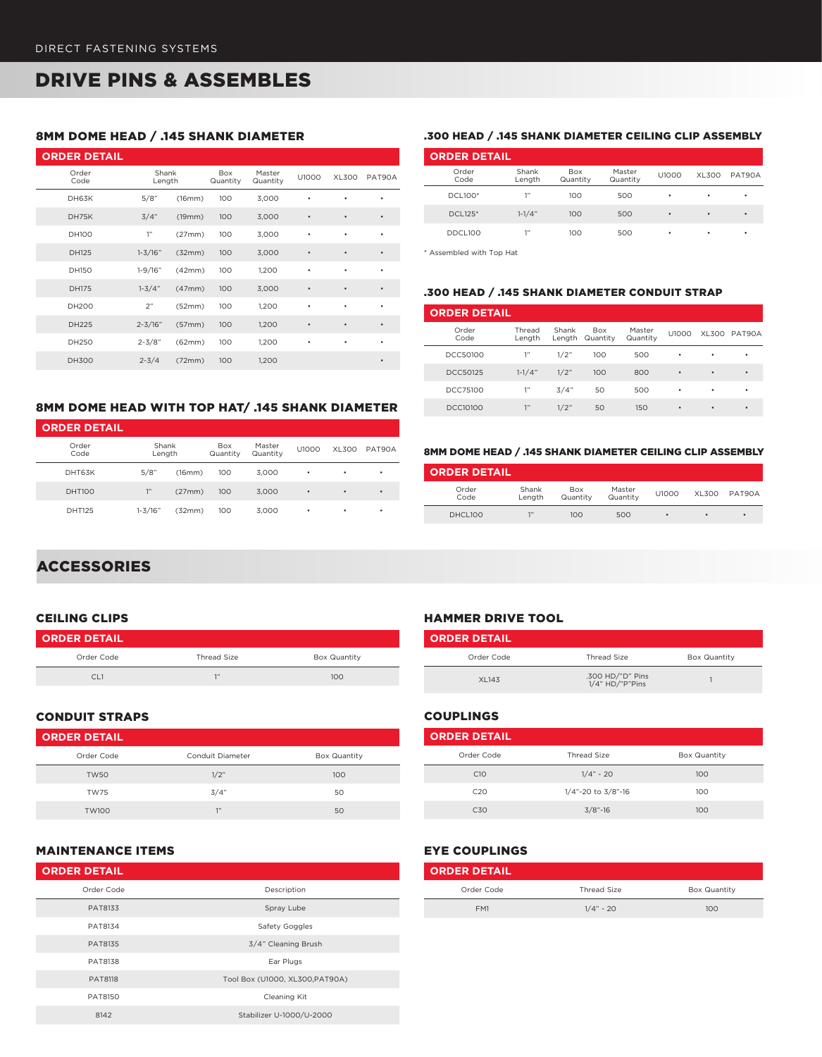# DRIVE PINS & ASSEMBLES

## 8MM DOME HEAD / .145 SHANK DIAMETER

| <b>ORDER DETAIL</b> |                 |        |                 |                    |           |              |           |
|---------------------|-----------------|--------|-----------------|--------------------|-----------|--------------|-----------|
| Order<br>Code       | Shank<br>Length |        | Box<br>Quantity | Master<br>Quantity | U1000     | <b>XL300</b> | PAT90A    |
| DH63K               | 5/8"            | (16mm) | 100             | 3,000              |           | ٠            | ٠         |
| DH75K               | 3/4"            | (19mm) | 100             | 3,000              | $\bullet$ | $\bullet$    | $\bullet$ |
| <b>DH100</b>        | 1"              | (27mm) | 100             | 3,000              | ٠         | ٠            | ٠         |
| DH125               | $1 - 3/16"$     | (32mm) | 100             | 3,000              | $\bullet$ | $\bullet$    | ٠         |
| DH150               | $1 - 9/16"$     | (42mm) | 100             | 1,200              | ٠         | ٠            | ٠         |
| <b>DH175</b>        | $1 - 3/4"$      | (47mm) | 100             | 3,000              | $\bullet$ | $\bullet$    | $\bullet$ |
| <b>DH200</b>        | 2"              | (52mm) | 100             | 1,200              | ٠         | ٠            | ٠         |
| DH225               | $2 - 3/16"$     | (57mm) | 100             | 1,200              | $\bullet$ | $\bullet$    | $\bullet$ |
| DH250               | $2 - 3/8"$      | (62mm) | 100             | 1,200              | ٠         | ٠            | ٠         |
| <b>DH300</b>        | $2 - 3/4$       | (72mm) | 100             | 1,200              |           |              | $\bullet$ |

## 8MM DOME HEAD WITH TOP HAT/ .145 SHANK DIAMETER

| <b>ORDER DETAIL</b> |                 |        |                        |                    |           |       |        |
|---------------------|-----------------|--------|------------------------|--------------------|-----------|-------|--------|
| Order<br>Code       | Shank<br>Length |        | <b>Box</b><br>Quantity | Master<br>Quantity | U1000     | XL300 | PAT90A |
| DHT63K              | 5/8"            | (16mm) | 100                    | 3.000              | ٠         | ٠     | ٠      |
| <b>DHT100</b>       | 1"              | (27mm) | 100                    | 3,000              | $\bullet$ | ٠     | ٠      |
| DHT125              | $1 - 3/16"$     | (32mm) | 100                    | 3,000              | ٠         | ٠     | ٠      |

#### .300 HEAD / .145 SHANK DIAMETER CEILING CLIP ASSEMBLY

| <b>ORDER DETAIL</b> |                 |                        |                    |       |           |        |  |  |  |  |  |
|---------------------|-----------------|------------------------|--------------------|-------|-----------|--------|--|--|--|--|--|
| Order<br>Code       | Shank<br>Length | <b>Box</b><br>Quantity | Master<br>Quantity | U1000 | XL300     | PAT90A |  |  |  |  |  |
| DCL100*             | 1"              | 100                    | 500                | ٠     | ٠         | ٠      |  |  |  |  |  |
| DCL125*             | $1 - 1/4"$      | 100                    | 500                | ٠     | $\bullet$ | ٠      |  |  |  |  |  |
| DDCL100             | 1"              | 100                    | 500                | ٠     | ٠         | ٠      |  |  |  |  |  |

\* Assembled with Top Hat

#### .300 HEAD / .145 SHANK DIAMETER CONDUIT STRAP

| <b>ORDER DETAIL</b> |                  |                 |                        |                    |           |   |              |  |  |  |
|---------------------|------------------|-----------------|------------------------|--------------------|-----------|---|--------------|--|--|--|
| Order<br>Code       | Thread<br>Lenath | Shank<br>Lenath | <b>Box</b><br>Quantity | Master<br>Quantity | U1000     |   | XL300 PAT90A |  |  |  |
| DCC50100            | 1"               | 1/2"            | 100                    | 500                | ٠         | ٠ | ٠            |  |  |  |
| DCC50125            | $1 - 1/4"$       | 1/2"            | 100                    | 800                | $\bullet$ | ٠ | ٠            |  |  |  |
| DCC75100            | 1"               | 3/4"            | 50                     | 500                | ٠         | ٠ | ٠            |  |  |  |
| <b>DCC10100</b>     | 1"               | 1/2"            | 50                     | 150                | ٠         | ٠ | ٠            |  |  |  |

#### 8MM DOME HEAD / .145 SHANK DIAMETER CEILING CLIP ASSEMBLY

| <b>ORDER DETAIL</b> |                 |                        |                    |       |           |              |
|---------------------|-----------------|------------------------|--------------------|-------|-----------|--------------|
| Order<br>Code       | Shank<br>Lenath | <b>Box</b><br>Quantity | Master<br>Quantity | U1000 |           | XL300 PAT90A |
| DHCL100             | 1"              | 100                    | 500                | ٠     | $\bullet$ | $\bullet$    |

## **ACCESSORIES**

#### CEILING CLIPS

| <b>ORDER DETAIL</b> |                    |                     |
|---------------------|--------------------|---------------------|
| Order Code          | <b>Thread Size</b> | <b>Box Quantity</b> |
| CI 1                | 7133               | 100                 |

### CONDUIT STRAPS

| <b>ORDER DETAIL</b> |                  |              |
|---------------------|------------------|--------------|
| Order Code          | Conduit Diameter | Box Quantity |
| <b>TW50</b>         | 1/2"             | 100          |
| <b>TW75</b>         | 3/4"             | 50           |
| <b>TW100</b>        | 7"               | 50           |

### COUPLINGS

| Thread Size        | <b>Box Quantity</b> |  |
|--------------------|---------------------|--|
| $1/4" - 20$        | 100                 |  |
| 1/4"-20 to 3/8"-16 | 100                 |  |
| $3/8$ "-16         | 100                 |  |
|                    |                     |  |

Order Code **Thread Size** Box Quantity

XL143 .300 HD/"D" Pins 1/4" HD/"P"Pins <sup>1</sup>

## MAINTENANCE ITEMS

| <b>ORDER DETAIL</b> |                                 |
|---------------------|---------------------------------|
| Order Code          | Description                     |
| PAT8133             | Spray Lube                      |
| PAT8134             | Safety Goggles                  |
| PAT8135             | 3/4" Cleaning Brush             |
| PAT8138             | Ear Plugs                       |
| <b>PAT8118</b>      | Tool Box (U1000, XL300, PAT90A) |
| PAT8150             | Cleaning Kit                    |
| 8142                | Stabilizer U-1000/U-2000        |

## EYE COUPLINGS

**ORDER DETAIL**

HAMMER DRIVE TOOL

| <b>ORDER DETAIL</b> |             |              |
|---------------------|-------------|--------------|
| Order Code          | Thread Size | Box Quantity |
| FM1                 | $1/4" - 20$ | 100          |